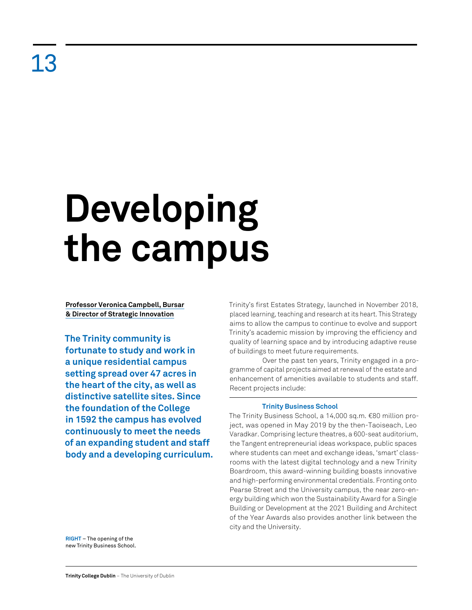# **Developing the campus**

**Professor Veronica Campbell, Bursar & Director of Strategic Innovation**

**The Trinity community is fortunate to study and work in a unique residential campus setting spread over 47 acres in the heart of the city, as well as distinctive satellite sites. Since the foundation of the College in 1592 the campus has evolved continuously to meet the needs of an expanding student and staff body and a developing curriculum.**  Trinity's first Estates Strategy, launched in November 2018, placed learning, teaching and research at its heart. This Strategy aims to allow the campus to continue to evolve and support Trinity's academic mission by improving the efficiency and quality of learning space and by introducing adaptive reuse of buildings to meet future requirements.

Over the past ten years, Trinity engaged in a programme of capital projects aimed at renewal of the estate and enhancement of amenities available to students and staff. Recent projects include:

# **Trinity Business School**

The Trinity Business School, a 14,000 sq.m. €80 million project, was opened in May 2019 by the then-Taoiseach, Leo Varadkar. Comprising lecture theatres, a 600-seat auditorium, the Tangent entrepreneurial ideas workspace, public spaces where students can meet and exchange ideas, 'smart' classrooms with the latest digital technology and a new Trinity Boardroom, this award-winning building boasts innovative and high-performing environmental credentials. Fronting onto Pearse Street and the University campus, the near zero-energy building which won the Sustainability Award for a Single Building or Development at the 2021 Building and Architect of the Year Awards also provides another link between the city and the University.

**RIGHT** – The opening of the new Trinity Business School.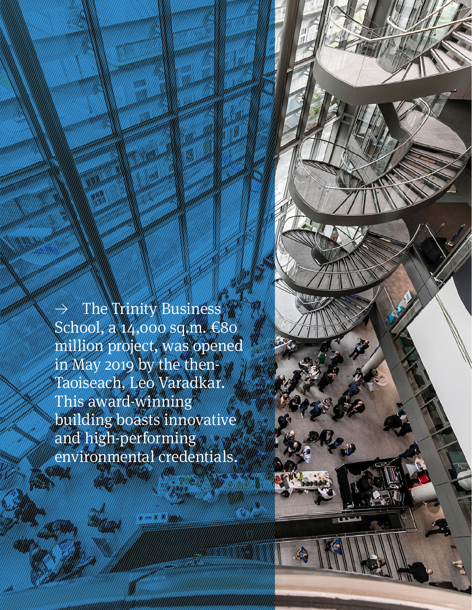$\rightarrow$  The Trinity Business School, a 14,000 sq.m. €80 million project, was opened in May 2019 by the then-Taoiseach, Leo Varadkar. This award-winning building boasts innovative and high-performing environmental credentials.

**Retrospective Review** 2011–21 100 | 101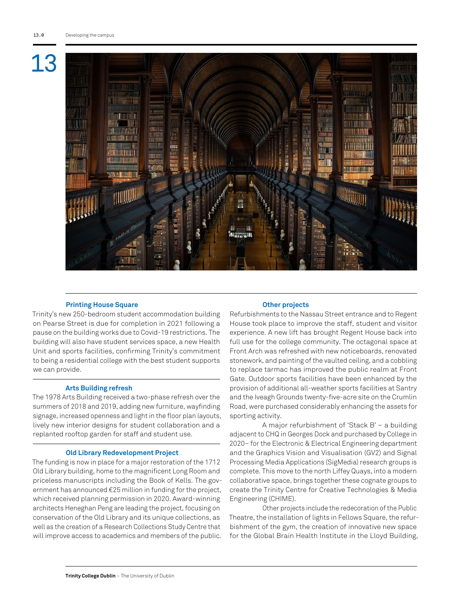

## **Printing House Square**

Trinity's new 250-bedroom student accommodation building on Pearse Street is due for completion in 2021 following a pause on the building works due to Covid-19 restrictions. The building will also have student services space, a new Health Unit and sports facilities, confirming Trinity's commitment to being a residential college with the best student supports we can provide.

### **Arts Building refresh**

The 1978 Arts Building received a two-phase refresh over the summers of 2018 and 2019, adding new furniture, wayfinding signage, increased openness and light in the floor plan layouts, lively new interior designs for student collaboration and a replanted rooftop garden for staff and student use.

### **Old Library Redevelopment Project**

The funding is now in place for a major restoration of the 1712 Old Library building, home to the magnificent Long Room and priceless manuscripts including the Book of Kells. The government has announced €25 million in funding for the project, which received planning permission in 2020. Award-winning architects Heneghan Peng are leading the project, focusing on conservation of the Old Library and its unique collections, as well as the creation of a Research Collections Study Centre that will improve access to academics and members of the public.

### **Other projects**

Refurbishments to the Nassau Street entrance and to Regent House took place to improve the staff, student and visitor experience. A new lift has brought Regent House back into full use for the college community. The octagonal space at Front Arch was refreshed with new noticeboards, renovated stonework, and painting of the vaulted ceiling, and a cobbling to replace tarmac has improved the public realm at Front Gate. Outdoor sports facilities have been enhanced by the provision of additional all-weather sports facilities at Santry and the Iveagh Grounds twenty-five-acre site on the Crumlin Road, were purchased considerably enhancing the assets for sporting activity.

A major refurbishment of 'Stack B' – a building adjacent to CHQ in Georges Dock and purchased by College in 2020– for the Electronic & Electrical Engineering department and the Graphics Vision and Visualisation (GV2) and Signal Processing Media Applications (SigMedia) research groups is complete. This move to the north Liffey Quays, into a modern collaborative space, brings together these cognate groups to create the Trinity Centre for Creative Technologies & Media Engineering (CHIME).

Other projects include the redecoration of the Public Theatre, the installation of lights in Fellows Square, the refurbishment of the gym, the creation of innovative new space for the Global Brain Health Institute in the Lloyd Building,